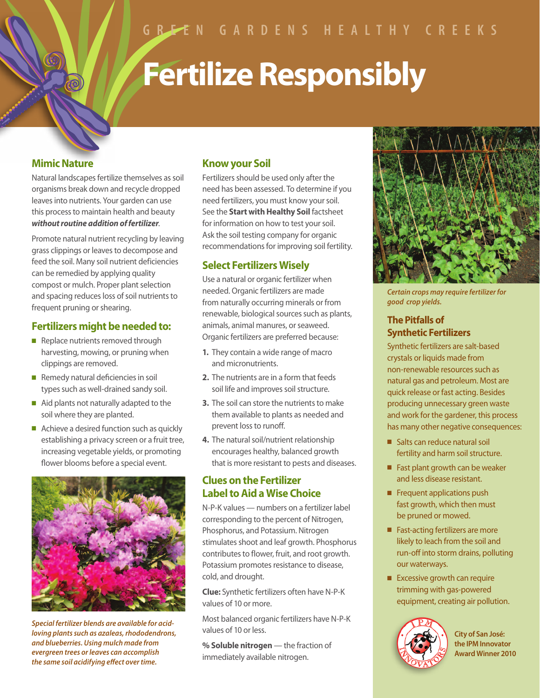# **Fertilize Responsibly**

## **Mimic Nature**

Natural landscapes fertilize themselves as soil organisms break down and recycle dropped leaves into nutrients. Your garden can use this process to maintain health and beauty *without routine addition of fertilizer*.

Promote natural nutrient recycling by leaving grass clippings or leaves to decompose and feed the soil. Many soil nutrient deficiencies can be remedied by applying quality compost or mulch. Proper plant selection and spacing reduces loss of soil nutrients to frequent pruning or shearing.

## **Fertilizers might be needed to:**

- $\blacksquare$  Replace nutrients removed through harvesting, mowing, or pruning when clippings are removed.
- $\blacksquare$  Remedy natural deficiencies in soil types such as well-drained sandy soil.
- $\blacksquare$  Aid plants not naturally adapted to the soil where they are planted.
- $\blacksquare$  Achieve a desired function such as quickly establishing a privacy screen or a fruit tree, increasing vegetable yields, or promoting flower blooms before a special event.



*Special fertilizer blends are available for acidloving plants such as azaleas, rhododendrons, and blueberries. Using mulch made from evergreen trees or leaves can accomplish the same soil acidifying effect over time.*

# **Know your Soil**

Fertilizers should be used only after the need has been assessed. To determine if you need fertilizers, you must know your soil. See the **Start with Healthy Soil** factsheet for information on how to test your soil. Ask the soil testing company for organic recommendations for improving soil fertility.

## **Select Fertilizers Wisely**

Use a natural or organic fertilizer when needed. Organic fertilizers are made from naturally occurring minerals or from renewable, biological sources such as plants, animals, animal manures, or seaweed. Organic fertilizers are preferred because:

- **1.** They contain a wide range of macro and micronutrients.
- **2.** The nutrients are in a form that feeds soil life and improves soil structure.
- **3.** The soil can store the nutrients to make them available to plants as needed and prevent loss to runoff.
- **4.** The natural soil/nutrient relationship encourages healthy, balanced growth that is more resistant to pests and diseases.

## **Clues on the Fertilizer Label to Aid a Wise Choice**

N-P-K values — numbers on a fertilizer label corresponding to the percent of Nitrogen, Phosphorus, and Potassium. Nitrogen stimulates shoot and leaf growth. Phosphorus contributes to flower, fruit, and root growth. Potassium promotes resistance to disease, cold, and drought.

**Clue:** Synthetic fertilizers often have N-P-K values of 10 or more.

Most balanced organic fertilizers have N-P-K values of 10 or less.

**% Soluble nitrogen** — the fraction of immediately available nitrogen.



*Certain crops may require fertilizer for good crop yields.* 

## **The Pitfalls of Synthetic Fertilizers**

Synthetic fertilizers are salt-based crystals or liquids made from non-renewable resources such as natural gas and petroleum. Most are quick release or fast acting. Besides producing unnecessary green waste and work for the gardener, this process has many other negative consequences:

- Salts can reduce natural soil fertility and harm soil structure.
- $\blacksquare$  Fast plant growth can be weaker and less disease resistant.
- $\blacksquare$  Frequent applications push fast growth, which then must be pruned or mowed.
- Fast-acting fertilizers are more likely to leach from the soil and run-off into storm drains, polluting our waterways.
- $\blacksquare$  Excessive growth can require trimming with gas-powered equipment, creating air pollution.